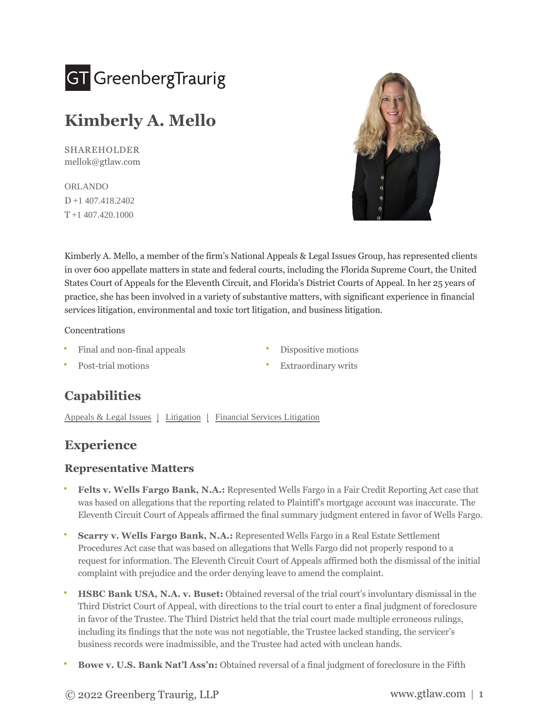

# **Kimberly A. Mello**

SHAREHOLDER [mellok@gtlaw.com](mailto:mellok@gtlaw.com)

[ORLANDO](https://www.gtlaw.com/en/locations/orlando) D [+1 407.418.2402](tel:+1%20407.418.2402)  $T + 1$  407.420.1000



Kimberly A. Mello, a member of the firm's National Appeals & Legal Issues Group, has represented clients in over 600 appellate matters in state and federal courts, including the Florida Supreme Court, the United States Court of Appeals for the Eleventh Circuit, and Florida's District Courts of Appeal. In her 25 years of practice, she has been involved in a variety of substantive matters, with significant experience in financial services litigation, environmental and toxic tort litigation, and business litigation.

#### Concentrations

- **•** Dispositive motions **•** Dispositive motions
	-
- **•** Post-trial motions **•** Extraordinary writs

# **Capabilities**

[Appeals & Legal Issues](https://www.gtlaw.com/en/capabilities/litigation/appeals-legal-issues) | [Litigation](https://www.gtlaw.com/en/capabilities/litigation) | [Financial Services Litigation](https://www.gtlaw.com/en/capabilities/banking-and-financial-services/financial-services-litigation)

## **Experience**

#### **Representative Matters**

- **Felts v. Wells Fargo Bank, N.A.:** Represented Wells Fargo in a Fair Credit Reporting Act case that was based on allegations that the reporting related to Plaintiff's mortgage account was inaccurate. The Eleventh Circuit Court of Appeals affirmed the final summary judgment entered in favor of Wells Fargo. **•**
- **Scarry v. Wells Fargo Bank, N.A.:** Represented Wells Fargo in a Real Estate Settlement Procedures Act case that was based on allegations that Wells Fargo did not properly respond to a request for information. The Eleventh Circuit Court of Appeals affirmed both the dismissal of the initial complaint with prejudice and the order denying leave to amend the complaint. **•**
- **HSBC Bank USA, N.A. v. Buset:** Obtained reversal of the trial court's involuntary dismissal in the Third District Court of Appeal, with directions to the trial court to enter a final judgment of foreclosure in favor of the Trustee. The Third District held that the trial court made multiple erroneous rulings, including its findings that the note was not negotiable, the Trustee lacked standing, the servicer's business records were inadmissible, and the Trustee had acted with unclean hands. **•**
- **• Bowe v. U.S. Bank Nat'l Ass'n:** Obtained reversal of a final judgment of foreclosure in the Fifth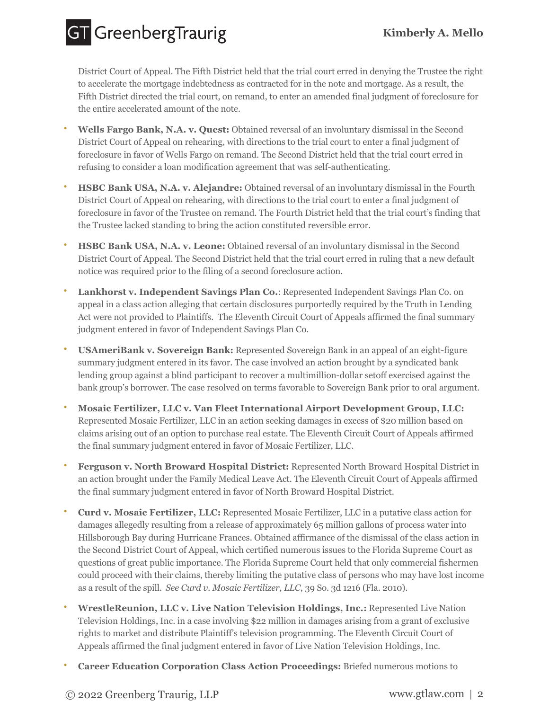**GT** GreenbergTraurig

District Court of Appeal. The Fifth District held that the trial court erred in denying the Trustee the right to accelerate the mortgage indebtedness as contracted for in the note and mortgage. As a result, the Fifth District directed the trial court, on remand, to enter an amended final judgment of foreclosure for the entire accelerated amount of the note.

- **Wells Fargo Bank, N.A. v. Quest:** Obtained reversal of an involuntary dismissal in the Second District Court of Appeal on rehearing, with directions to the trial court to enter a final judgment of foreclosure in favor of Wells Fargo on remand. The Second District held that the trial court erred in refusing to consider a loan modification agreement that was self-authenticating. **•**
- **HSBC Bank USA, N.A. v. Alejandre:** Obtained reversal of an involuntary dismissal in the Fourth District Court of Appeal on rehearing, with directions to the trial court to enter a final judgment of foreclosure in favor of the Trustee on remand. The Fourth District held that the trial court's finding that the Trustee lacked standing to bring the action constituted reversible error. **•**
- **HSBC Bank USA, N.A. v. Leone:** Obtained reversal of an involuntary dismissal in the Second District Court of Appeal. The Second District held that the trial court erred in ruling that a new default notice was required prior to the filing of a second foreclosure action. **•**
- **Lankhorst v. Independent Savings Plan Co.**: Represented Independent Savings Plan Co. on appeal in a class action alleging that certain disclosures purportedly required by the Truth in Lending Act were not provided to Plaintiffs. The Eleventh Circuit Court of Appeals affirmed the final summary judgment entered in favor of Independent Savings Plan Co. **•**
- **USAmeriBank v. Sovereign Bank:** Represented Sovereign Bank in an appeal of an eight-figure summary judgment entered in its favor. The case involved an action brought by a syndicated bank lending group against a blind participant to recover a multimillion-dollar setoff exercised against the bank group's borrower. The case resolved on terms favorable to Sovereign Bank prior to oral argument. **•**
- **Mosaic Fertilizer, LLC v. Van Fleet International Airport Development Group, LLC:** Represented Mosaic Fertilizer, LLC in an action seeking damages in excess of \$20 million based on claims arising out of an option to purchase real estate. The Eleventh Circuit Court of Appeals affirmed the final summary judgment entered in favor of Mosaic Fertilizer, LLC. **•**
- **Ferguson v. North Broward Hospital District:** Represented North Broward Hospital District in an action brought under the Family Medical Leave Act. The Eleventh Circuit Court of Appeals affirmed the final summary judgment entered in favor of North Broward Hospital District. **•**
- **Curd v. Mosaic Fertilizer, LLC:** Represented Mosaic Fertilizer, LLC in a putative class action for damages allegedly resulting from a release of approximately 65 million gallons of process water into Hillsborough Bay during Hurricane Frances. Obtained affirmance of the dismissal of the class action in the Second District Court of Appeal, which certified numerous issues to the Florida Supreme Court as questions of great public importance. The Florida Supreme Court held that only commercial fishermen could proceed with their claims, thereby limiting the putative class of persons who may have lost income as a result of the spill. *See Curd v. Mosaic Fertilizer, LLC*, 39 So. 3d 1216 (Fla. 2010). **•**
- **WrestleReunion, LLC v. Live Nation Television Holdings, Inc.:** Represented Live Nation Television Holdings, Inc. in a case involving \$22 million in damages arising from a grant of exclusive rights to market and distribute Plaintiff's television programming. The Eleventh Circuit Court of Appeals affirmed the final judgment entered in favor of Live Nation Television Holdings, Inc. **•**
- **• Career Education Corporation Class Action Proceedings:** Briefed numerous motions to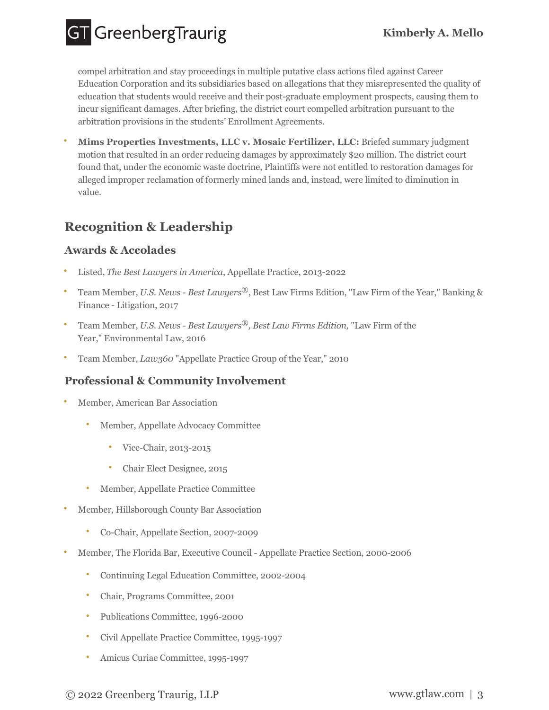**GT** GreenbergTraurig

compel arbitration and stay proceedings in multiple putative class actions filed against Career Education Corporation and its subsidiaries based on allegations that they misrepresented the quality of education that students would receive and their post-graduate employment prospects, causing them to incur significant damages. After briefing, the district court compelled arbitration pursuant to the arbitration provisions in the students' Enrollment Agreements.

**Mims Properties Investments, LLC v. Mosaic Fertilizer, LLC:** Briefed summary judgment motion that resulted in an order reducing damages by approximately \$20 million. The district court found that, under the economic waste doctrine, Plaintiffs were not entitled to restoration damages for alleged improper reclamation of formerly mined lands and, instead, were limited to diminution in value. **•**

# **Recognition & Leadership**

### **Awards & Accolades**

- **•** Listed, *The Best Lawyers in America*, Appellate Practice, 2013-2022
- Team Member, *U.S. News Best Lawyers*<sup>®</sup>, Best Law Firms Edition, "Law Firm of the Year," Banking & Finance - Litigation, 2017
- Team Member, *U.S. News Best Lawyers*<sup>®</sup>, *Best Law Firms Edition*, "Law Firm of the Year," Environmental Law, 2016
- **•** Team Member, *Law360* "Appellate Practice Group of the Year," 2010

### **Professional & Community Involvement**

- **•** Member, American Bar Association
	- **•** Member, Appellate Advocacy Committee
		- **•** Vice-Chair, 2013-2015
		- **•** Chair Elect Designee, 2015
	- **•** Member, Appellate Practice Committee
- **•** Member, Hillsborough County Bar Association
	- **•** Co-Chair, Appellate Section, 2007-2009
- **•** Member, The Florida Bar, Executive Council Appellate Practice Section, 2000-2006
	- **•** Continuing Legal Education Committee, 2002-2004
	- **•** Chair, Programs Committee, 2001
	- **•** Publications Committee, 1996-2000
	- **•** Civil Appellate Practice Committee, 1995-1997
	- **•** Amicus Curiae Committee, 1995-1997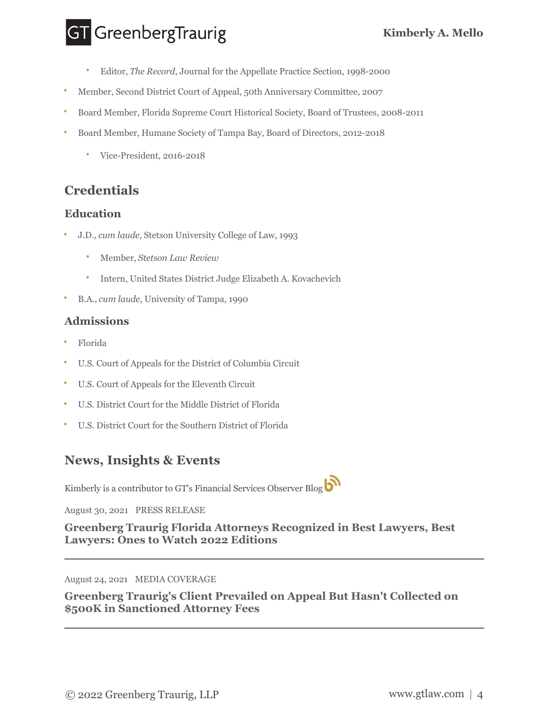# **GT** GreenbergTraurig

- **•** Editor, *The Record*, Journal for the Appellate Practice Section, 1998-2000
- **•** Member, Second District Court of Appeal, 50th Anniversary Committee, 2007
- **•** Board Member, Florida Supreme Court Historical Society, Board of Trustees, 2008-2011
- **•** Board Member, Humane Society of Tampa Bay, Board of Directors, 2012-2018
	- **•** Vice-President, 2016-2018

# **Credentials**

#### **Education**

- **•** J.D., *cum laude*, Stetson University College of Law, 1993
	- **•** Member, *Stetson Law Review*
	- **•** Intern, United States District Judge Elizabeth A. Kovachevich
- **•** B.A., *cum laude*, University of Tampa, 1990

#### **Admissions**

- **•** Florida
- **•** U.S. Court of Appeals for the District of Columbia Circuit
- **•** U.S. Court of Appeals for the Eleventh Circuit
- **•** U.S. District Court for the Middle District of Florida
- **•** U.S. District Court for the Southern District of Florida

# **News, Insights & Events**

Kimberly is a contributor to GT's Financial Services Observer Blog

August 30, 2021 PRESS RELEASE

**[Greenberg Traurig Florida Attorneys Recognized in Best Lawyers, Best](https://www.gtlaw.com/en/news/2021/8/press-releases/greenberg-traurig-florida-recognized-best-lawyers-best-lawyers-ones-to-watch-2022-editions) Lawyers: Ones to Watch 2022 Editions**

August 24, 2021 MEDIA COVERAGE

**[Greenberg Traurig's Client Prevailed on Appeal But Hasn't Collected on](https://www.gtlaw.com/en/news/2021/8/media-coverage/greenberg-traurigs-client-prevailed-appeal-hasnt-collected-500k-sanctioned-attorney-fees) \$500K in Sanctioned Attorney Fees**